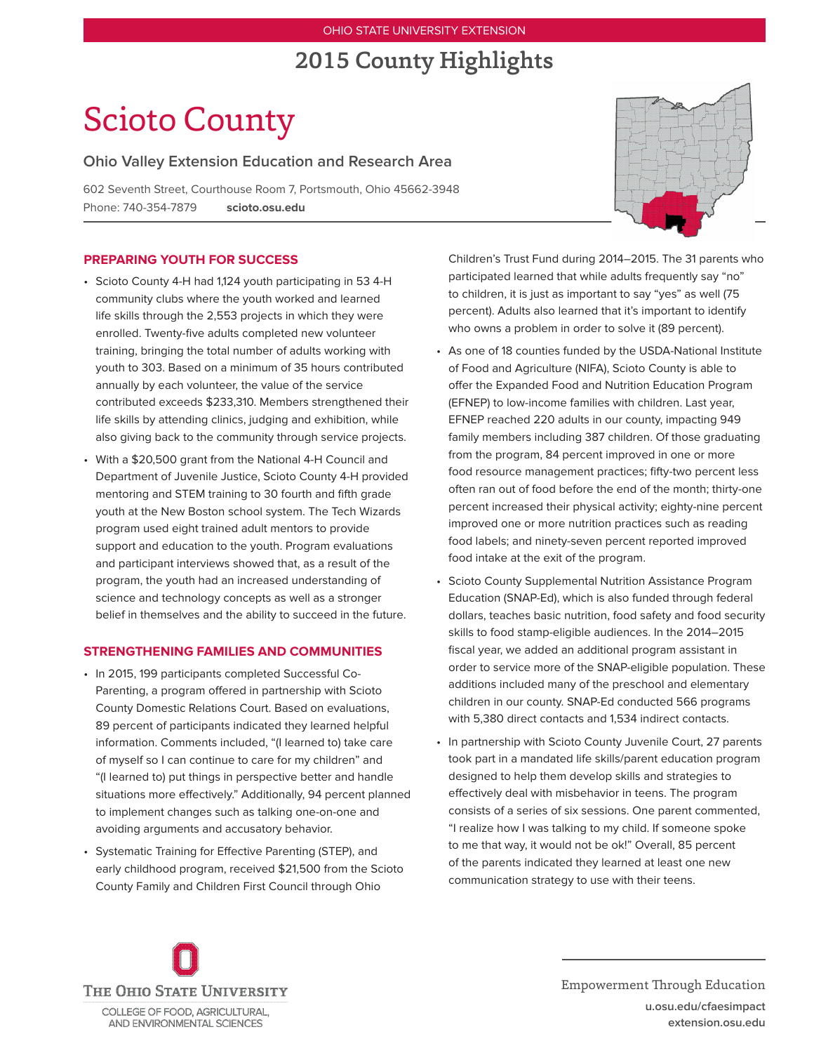# OHIO STATE UNIVERSITY EXTENSION

# 2015 County Highlights

# Scioto County

**Ohio Valley Extension Education and Research Area**

602 Seventh Street, Courthouse Room 7, Portsmouth, Ohio 45662-3948 Phone: 740-354-7879 **scioto.osu.edu**

# **PREPARING YOUTH FOR SUCCESS**

- Scioto County 4-H had 1,124 youth participating in 53 4-H community clubs where the youth worked and learned life skills through the 2,553 projects in which they were enrolled. Twenty-five adults completed new volunteer training, bringing the total number of adults working with youth to 303. Based on a minimum of 35 hours contributed annually by each volunteer, the value of the service contributed exceeds \$233,310. Members strengthened their life skills by attending clinics, judging and exhibition, while also giving back to the community through service projects.
- With a \$20,500 grant from the National 4-H Council and Department of Juvenile Justice, Scioto County 4-H provided mentoring and STEM training to 30 fourth and fifth grade youth at the New Boston school system. The Tech Wizards program used eight trained adult mentors to provide support and education to the youth. Program evaluations and participant interviews showed that, as a result of the program, the youth had an increased understanding of science and technology concepts as well as a stronger belief in themselves and the ability to succeed in the future.

#### **STRENGTHENING FAMILIES AND COMMUNITIES**

- In 2015, 199 participants completed Successful Co-Parenting, a program offered in partnership with Scioto County Domestic Relations Court. Based on evaluations, 89 percent of participants indicated they learned helpful information. Comments included, "(I learned to) take care of myself so I can continue to care for my children" and "(I learned to) put things in perspective better and handle situations more effectively." Additionally, 94 percent planned to implement changes such as talking one-on-one and avoiding arguments and accusatory behavior.
- • Systematic Training for Effective Parenting (STEP), and early childhood program, received \$21,500 from the Scioto County Family and Children First Council through Ohio



Children's Trust Fund during 2014–2015. The 31 parents who participated learned that while adults frequently say "no" to children, it is just as important to say "yes" as well (75 percent). Adults also learned that it's important to identify who owns a problem in order to solve it (89 percent).

- As one of 18 counties funded by the USDA-National Institute of Food and Agriculture (NIFA), Scioto County is able to offer the Expanded Food and Nutrition Education Program (EFNEP) to low-income families with children. Last year, EFNEP reached 220 adults in our county, impacting 949 family members including 387 children. Of those graduating from the program, 84 percent improved in one or more food resource management practices; fifty-two percent less often ran out of food before the end of the month; thirty-one percent increased their physical activity; eighty-nine percent improved one or more nutrition practices such as reading food labels; and ninety-seven percent reported improved food intake at the exit of the program.
- Scioto County Supplemental Nutrition Assistance Program Education (SNAP-Ed), which is also funded through federal dollars, teaches basic nutrition, food safety and food security skills to food stamp-eligible audiences. In the 2014–2015 fiscal year, we added an additional program assistant in order to service more of the SNAP-eligible population. These additions included many of the preschool and elementary children in our county. SNAP-Ed conducted 566 programs with 5,380 direct contacts and 1,534 indirect contacts.
- In partnership with Scioto County Juvenile Court, 27 parents took part in a mandated life skills/parent education program designed to help them develop skills and strategies to effectively deal with misbehavior in teens. The program consists of a series of six sessions. One parent commented, "I realize how I was talking to my child. If someone spoke to me that way, it would not be ok!" Overall, 85 percent of the parents indicated they learned at least one new communication strategy to use with their teens.



Empowerment Through Education **u.osu.edu/cfaesimpact extension.osu.edu**